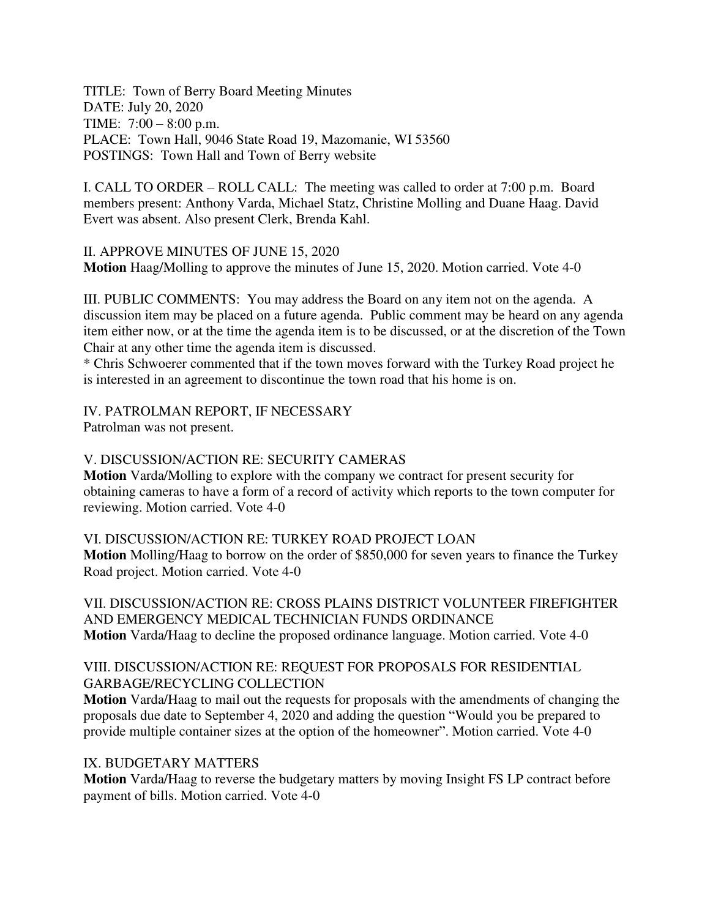TITLE: Town of Berry Board Meeting Minutes DATE: July 20, 2020 TIME: 7:00 – 8:00 p.m. PLACE: Town Hall, 9046 State Road 19, Mazomanie, WI 53560 POSTINGS: Town Hall and Town of Berry website

I. CALL TO ORDER – ROLL CALL: The meeting was called to order at 7:00 p.m. Board members present: Anthony Varda, Michael Statz, Christine Molling and Duane Haag. David Evert was absent. Also present Clerk, Brenda Kahl.

II. APPROVE MINUTES OF JUNE 15, 2020 **Motion** Haag/Molling to approve the minutes of June 15, 2020. Motion carried. Vote 4-0

III. PUBLIC COMMENTS: You may address the Board on any item not on the agenda. A discussion item may be placed on a future agenda. Public comment may be heard on any agenda item either now, or at the time the agenda item is to be discussed, or at the discretion of the Town Chair at any other time the agenda item is discussed.

\* Chris Schwoerer commented that if the town moves forward with the Turkey Road project he is interested in an agreement to discontinue the town road that his home is on.

IV. PATROLMAN REPORT, IF NECESSARY

Patrolman was not present.

# V. DISCUSSION/ACTION RE: SECURITY CAMERAS

**Motion** Varda/Molling to explore with the company we contract for present security for obtaining cameras to have a form of a record of activity which reports to the town computer for reviewing. Motion carried. Vote 4-0

### VI. DISCUSSION/ACTION RE: TURKEY ROAD PROJECT LOAN

**Motion** Molling/Haag to borrow on the order of \$850,000 for seven years to finance the Turkey Road project. Motion carried. Vote 4-0

VII. DISCUSSION/ACTION RE: CROSS PLAINS DISTRICT VOLUNTEER FIREFIGHTER AND EMERGENCY MEDICAL TECHNICIAN FUNDS ORDINANCE **Motion** Varda/Haag to decline the proposed ordinance language. Motion carried. Vote 4-0

## VIII. DISCUSSION/ACTION RE: REQUEST FOR PROPOSALS FOR RESIDENTIAL GARBAGE/RECYCLING COLLECTION

**Motion** Varda/Haag to mail out the requests for proposals with the amendments of changing the proposals due date to September 4, 2020 and adding the question "Would you be prepared to provide multiple container sizes at the option of the homeowner". Motion carried. Vote 4-0

### IX. BUDGETARY MATTERS

**Motion** Varda/Haag to reverse the budgetary matters by moving Insight FS LP contract before payment of bills. Motion carried. Vote 4-0